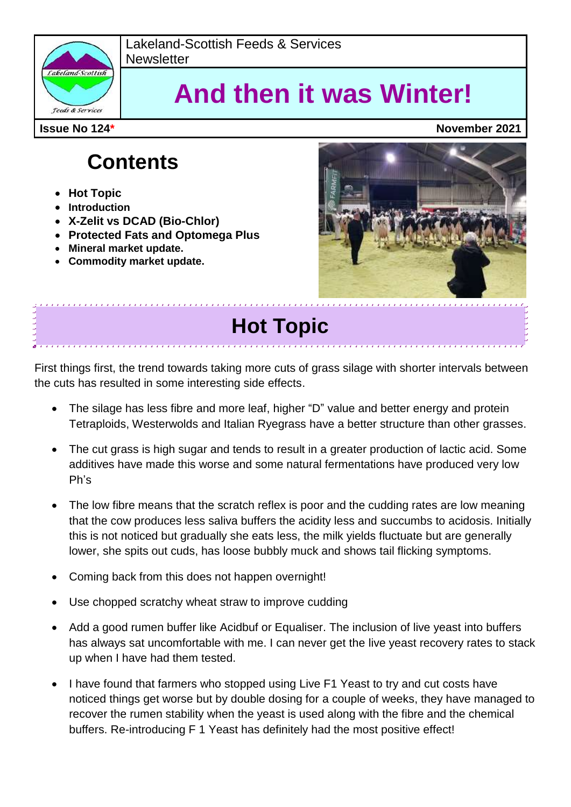

Lakeland-Scottish Feeds & Services **Newsletter** 

# **And then it was Winter!**

## **Contents**

- **Hot Topic**
- **•** Introduction
- **X-Zelit vs DCAD (Bio-Chlor)**
- **Protected Fats and Optomega Plus**
- **Mineral market update.**
- **Commodity market update.**



# **Hot Topic**

First things first, the trend towards taking more cuts of grass silage with shorter intervals between the cuts has resulted in some interesting side effects.

- The silage has less fibre and more leaf, higher "D" value and better energy and protein Tetraploids, Westerwolds and Italian Ryegrass have a better structure than other grasses.
- The cut grass is high sugar and tends to result in a greater production of lactic acid. Some additives have made this worse and some natural fermentations have produced very low Ph's
- The low fibre means that the scratch reflex is poor and the cudding rates are low meaning that the cow produces less saliva buffers the acidity less and succumbs to acidosis. Initially this is not noticed but gradually she eats less, the milk yields fluctuate but are generally lower, she spits out cuds, has loose bubbly muck and shows tail flicking symptoms.
- Coming back from this does not happen overnight!
- Use chopped scratchy wheat straw to improve cudding
- Add a good rumen buffer like Acidbuf or Equaliser. The inclusion of live yeast into buffers has always sat uncomfortable with me. I can never get the live yeast recovery rates to stack up when I have had them tested.
- I have found that farmers who stopped using Live F1 Yeast to try and cut costs have noticed things get worse but by double dosing for a couple of weeks, they have managed to recover the rumen stability when the yeast is used along with the fibre and the chemical buffers. Re-introducing F 1 Yeast has definitely had the most positive effect!

**Issue No 124\* November 2021**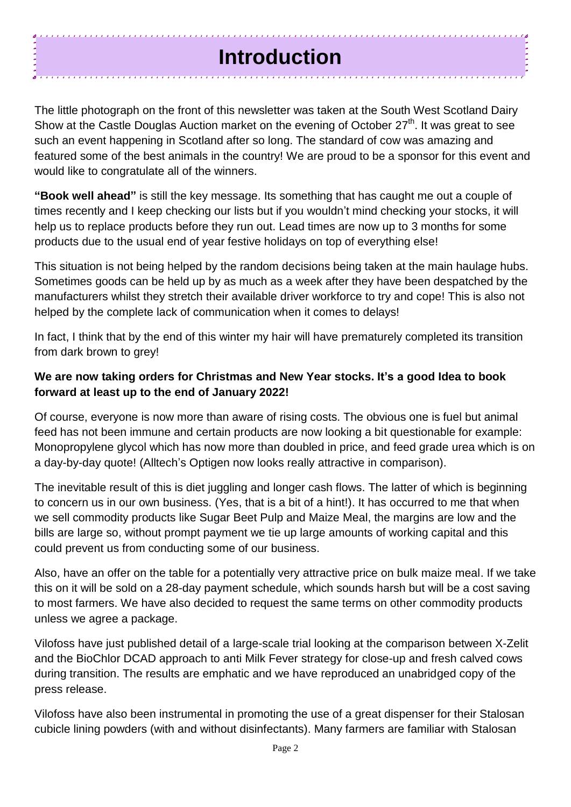## **Introduction**

The little photograph on the front of this newsletter was taken at the South West Scotland Dairy Show at the Castle Douglas Auction market on the evening of October 27<sup>th</sup>. It was great to see such an event happening in Scotland after so long. The standard of cow was amazing and featured some of the best animals in the country! We are proud to be a sponsor for this event and would like to congratulate all of the winners.

**"Book well ahead"** is still the key message. Its something that has caught me out a couple of times recently and I keep checking our lists but if you wouldn't mind checking your stocks, it will help us to replace products before they run out. Lead times are now up to 3 months for some products due to the usual end of year festive holidays on top of everything else!

This situation is not being helped by the random decisions being taken at the main haulage hubs. Sometimes goods can be held up by as much as a week after they have been despatched by the manufacturers whilst they stretch their available driver workforce to try and cope! This is also not helped by the complete lack of communication when it comes to delays!

In fact, I think that by the end of this winter my hair will have prematurely completed its transition from dark brown to grey!

#### **We are now taking orders for Christmas and New Year stocks. It's a good Idea to book forward at least up to the end of January 2022!**

Of course, everyone is now more than aware of rising costs. The obvious one is fuel but animal feed has not been immune and certain products are now looking a bit questionable for example: Monopropylene glycol which has now more than doubled in price, and feed grade urea which is on a day-by-day quote! (Alltech's Optigen now looks really attractive in comparison).

The inevitable result of this is diet juggling and longer cash flows. The latter of which is beginning to concern us in our own business. (Yes, that is a bit of a hint!). It has occurred to me that when we sell commodity products like Sugar Beet Pulp and Maize Meal, the margins are low and the bills are large so, without prompt payment we tie up large amounts of working capital and this could prevent us from conducting some of our business.

Also, have an offer on the table for a potentially very attractive price on bulk maize meal. If we take this on it will be sold on a 28-day payment schedule, which sounds harsh but will be a cost saving to most farmers. We have also decided to request the same terms on other commodity products unless we agree a package.

Vilofoss have just published detail of a large-scale trial looking at the comparison between X-Zelit and the BioChlor DCAD approach to anti Milk Fever strategy for close-up and fresh calved cows during transition. The results are emphatic and we have reproduced an unabridged copy of the press release.

Vilofoss have also been instrumental in promoting the use of a great dispenser for their Stalosan cubicle lining powders (with and without disinfectants). Many farmers are familiar with Stalosan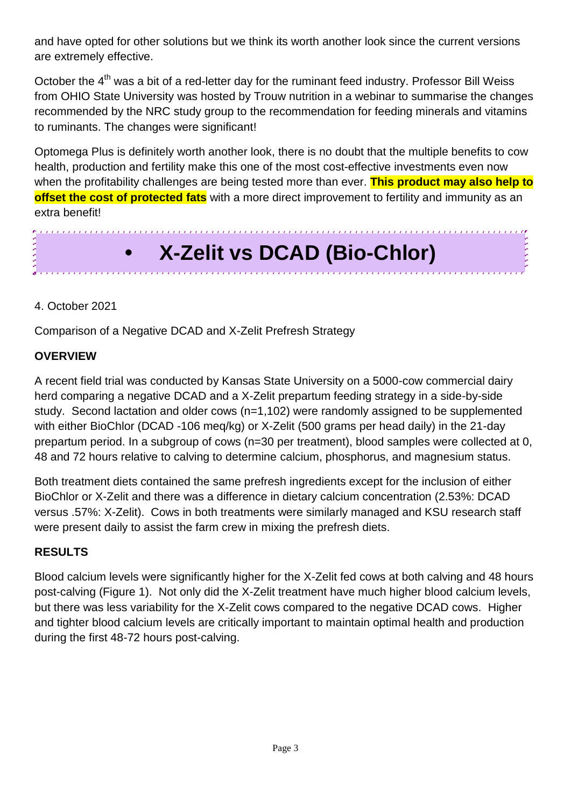and have opted for other solutions but we think its worth another look since the current versions are extremely effective.

October the 4<sup>th</sup> was a bit of a red-letter day for the ruminant feed industry. Professor Bill Weiss from OHIO State University was hosted by Trouw nutrition in a webinar to summarise the changes recommended by the NRC study group to the recommendation for feeding minerals and vitamins to ruminants. The changes were significant!

Optomega Plus is definitely worth another look, there is no doubt that the multiple benefits to cow health, production and fertility make this one of the most cost-effective investments even now when the profitability challenges are being tested more than ever. **This product may also help to offset the cost of protected fats** with a more direct improvement to fertility and immunity as an extra benefit!

# **• X-Zelit vs DCAD (Bio-Chlor)**

#### 4. October 2021

Comparison of a Negative DCAD and X-Zelit Prefresh Strategy

#### **OVERVIEW**

A recent field trial was conducted by Kansas State University on a 5000-cow commercial dairy herd comparing a negative DCAD and a X-Zelit prepartum feeding strategy in a side-by-side study. Second lactation and older cows (n=1,102) were randomly assigned to be supplemented with either BioChlor (DCAD -106 meq/kg) or X-Zelit (500 grams per head daily) in the 21-day prepartum period. In a subgroup of cows (n=30 per treatment), blood samples were collected at 0, 48 and 72 hours relative to calving to determine calcium, phosphorus, and magnesium status.

Both treatment diets contained the same prefresh ingredients except for the inclusion of either BioChlor or X-Zelit and there was a difference in dietary calcium concentration (2.53%: DCAD versus .57%: X-Zelit). Cows in both treatments were similarly managed and KSU research staff were present daily to assist the farm crew in mixing the prefresh diets.

#### **RESULTS**

Blood calcium levels were significantly higher for the X-Zelit fed cows at both calving and 48 hours post-calving (Figure 1). Not only did the X-Zelit treatment have much higher blood calcium levels, but there was less variability for the X-Zelit cows compared to the negative DCAD cows. Higher and tighter blood calcium levels are critically important to maintain optimal health and production during the first 48-72 hours post-calving.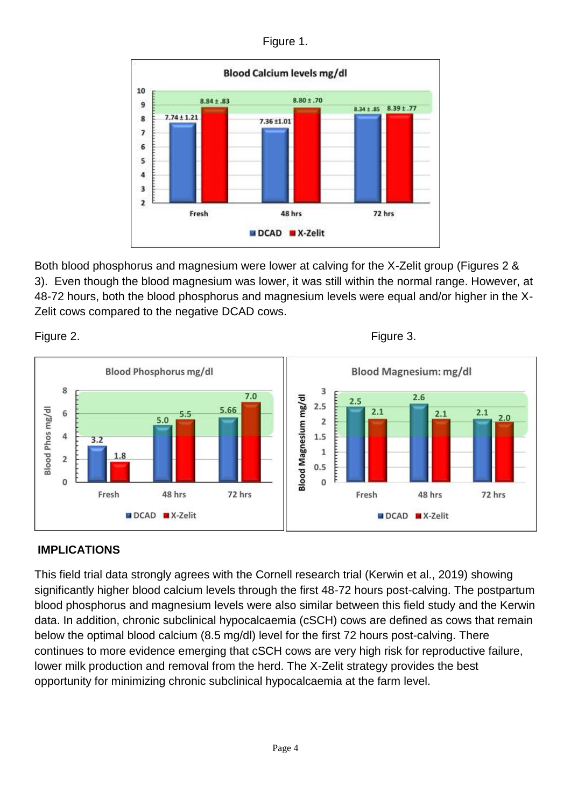Figure 1.



Both blood phosphorus and magnesium were lower at calving for the X-Zelit group (Figures 2 & 3). Even though the blood magnesium was lower, it was still within the normal range. However, at 48-72 hours, both the blood phosphorus and magnesium levels were equal and/or higher in the X-Zelit cows compared to the negative DCAD cows.







#### **IMPLICATIONS**

This field trial data strongly agrees with the Cornell research trial (Kerwin et al., 2019) showing significantly higher blood calcium levels through the first 48-72 hours post-calving. The postpartum blood phosphorus and magnesium levels were also similar between this field study and the Kerwin data. In addition, chronic subclinical hypocalcaemia (cSCH) cows are defined as cows that remain below the optimal blood calcium (8.5 mg/dl) level for the first 72 hours post-calving. There continues to more evidence emerging that cSCH cows are very high risk for reproductive failure, lower milk production and removal from the herd. The X-Zelit strategy provides the best opportunity for minimizing chronic subclinical hypocalcaemia at the farm level.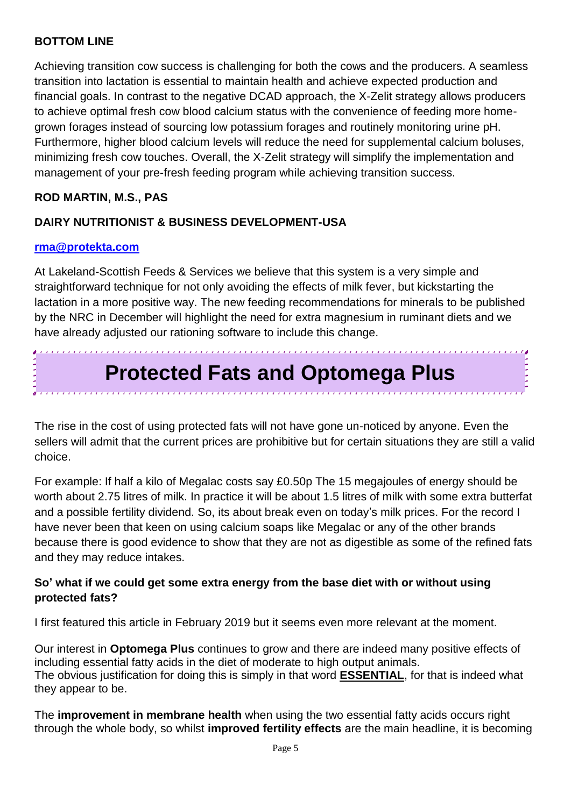#### **BOTTOM LINE**

Achieving transition cow success is challenging for both the cows and the producers. A seamless transition into lactation is essential to maintain health and achieve expected production and financial goals. In contrast to the negative DCAD approach, the X-Zelit strategy allows producers to achieve optimal fresh cow blood calcium status with the convenience of feeding more homegrown forages instead of sourcing low potassium forages and routinely monitoring urine pH. Furthermore, higher blood calcium levels will reduce the need for supplemental calcium boluses, minimizing fresh cow touches. Overall, the X-Zelit strategy will simplify the implementation and management of your pre-fresh feeding program while achieving transition success.

#### **ROD MARTIN, M.S., PAS**

#### **DAIRY NUTRITIONIST & BUSINESS DEVELOPMENT-USA**

#### **[rma@protekta.com](mailto:rma@protekta.com)**

At Lakeland-Scottish Feeds & Services we believe that this system is a very simple and straightforward technique for not only avoiding the effects of milk fever, but kickstarting the lactation in a more positive way. The new feeding recommendations for minerals to be published by the NRC in December will highlight the need for extra magnesium in ruminant diets and we have already adjusted our rationing software to include this change.

### **Protected Fats and Optomega Plus**

 $\color{red} \bullet \color{blue} \bullet \color{blue} \bullet \color{blue} \bullet \color{blue} \bullet \color{blue} \bullet \color{blue} \bullet \color{blue} \bullet \color{blue} \bullet \color{blue} \bullet \color{blue} \bullet \color{blue} \bullet \color{blue} \bullet \color{blue} \bullet \color{blue} \bullet \color{blue} \bullet \color{blue} \bullet \color{blue} \bullet \color{blue} \bullet \color{blue} \bullet \color{blue} \bullet \color{blue} \bullet \color{blue} \bullet \color{blue} \bullet \color{blue} \bullet \color{blue} \bullet \color{blue} \bullet \color{blue} \bullet \color{blue} \bullet \color{blue} \bullet \color{blue} \bullet \color{$ 

The rise in the cost of using protected fats will not have gone un-noticed by anyone. Even the sellers will admit that the current prices are prohibitive but for certain situations they are still a valid choice.

For example: If half a kilo of Megalac costs say £0.50p The 15 megajoules of energy should be worth about 2.75 litres of milk. In practice it will be about 1.5 litres of milk with some extra butterfat and a possible fertility dividend. So, its about break even on today's milk prices. For the record I have never been that keen on using calcium soaps like Megalac or any of the other brands because there is good evidence to show that they are not as digestible as some of the refined fats and they may reduce intakes.

#### **So' what if we could get some extra energy from the base diet with or without using protected fats?**

I first featured this article in February 2019 but it seems even more relevant at the moment.

Our interest in **Optomega Plus** continues to grow and there are indeed many positive effects of including essential fatty acids in the diet of moderate to high output animals. The obvious justification for doing this is simply in that word **ESSENTIAL**, for that is indeed what they appear to be.

The **improvement in membrane health** when using the two essential fatty acids occurs right through the whole body, so whilst **improved fertility effects** are the main headline, it is becoming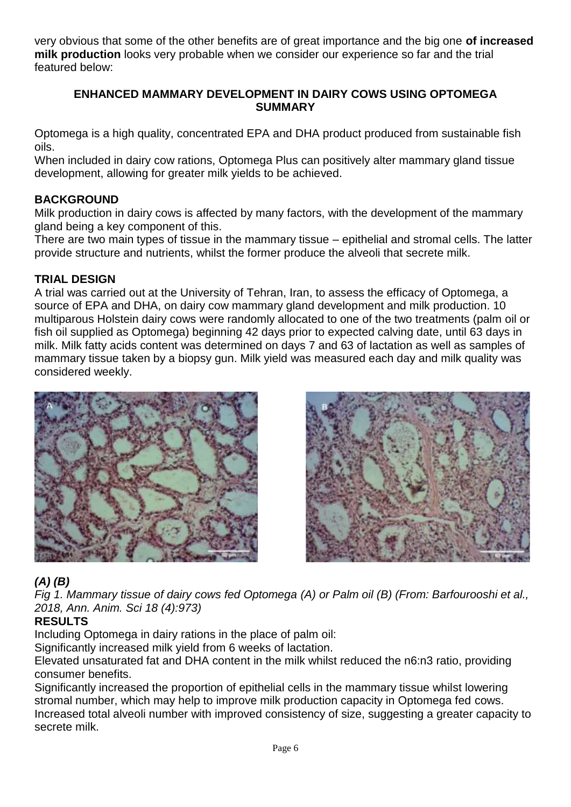very obvious that some of the other benefits are of great importance and the big one **of increased milk production** looks very probable when we consider our experience so far and the trial featured below:

#### **ENHANCED MAMMARY DEVELOPMENT IN DAIRY COWS USING OPTOMEGA SUMMARY**

Optomega is a high quality, concentrated EPA and DHA product produced from sustainable fish oils.

When included in dairy cow rations, Optomega Plus can positively alter mammary gland tissue development, allowing for greater milk yields to be achieved.

#### **BACKGROUND**

Milk production in dairy cows is affected by many factors, with the development of the mammary gland being a key component of this.

There are two main types of tissue in the mammary tissue – epithelial and stromal cells. The latter provide structure and nutrients, whilst the former produce the alveoli that secrete milk.

#### **TRIAL DESIGN**

A trial was carried out at the University of Tehran, Iran, to assess the efficacy of Optomega, a source of EPA and DHA, on dairy cow mammary gland development and milk production. 10 multiparous Holstein dairy cows were randomly allocated to one of the two treatments (palm oil or fish oil supplied as Optomega) beginning 42 days prior to expected calving date, until 63 days in milk. Milk fatty acids content was determined on days 7 and 63 of lactation as well as samples of mammary tissue taken by a biopsy gun. Milk yield was measured each day and milk quality was considered weekly.





#### *(A) (B)*

*Fig 1. Mammary tissue of dairy cows fed Optomega (A) or Palm oil (B) (From: Barfourooshi et al., 2018, Ann. Anim. Sci 18 (4):973)* 

#### **RESULTS**

Including Optomega in dairy rations in the place of palm oil:

Significantly increased milk yield from 6 weeks of lactation.

Elevated unsaturated fat and DHA content in the milk whilst reduced the n6:n3 ratio, providing consumer benefits.

Significantly increased the proportion of epithelial cells in the mammary tissue whilst lowering stromal number, which may help to improve milk production capacity in Optomega fed cows. Increased total alveoli number with improved consistency of size, suggesting a greater capacity to secrete milk.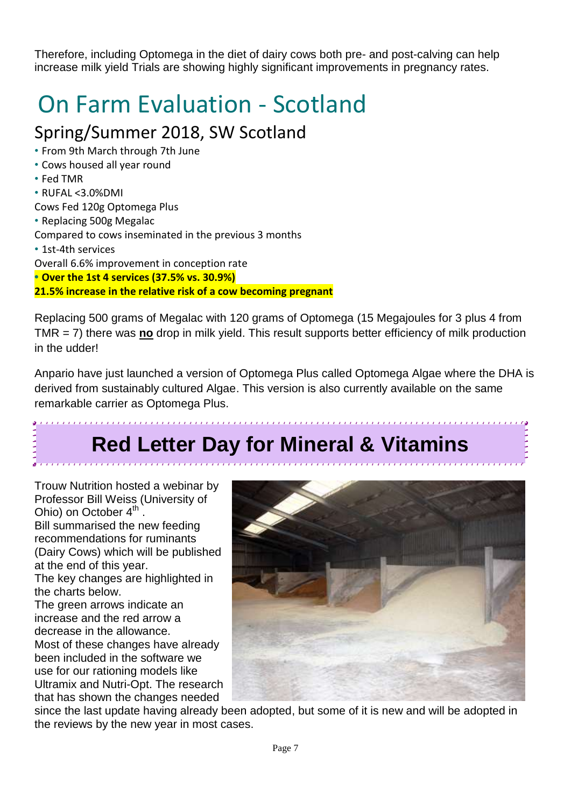Therefore, including Optomega in the diet of dairy cows both pre- and post-calving can help increase milk yield Trials are showing highly significant improvements in pregnancy rates.

# On Farm Evaluation - Scotland

### Spring/Summer 2018, SW Scotland

- From 9th March through 7th June
- Cows housed all year round
- Fed TMR
- RUFAL <3.0%DMI

Cows Fed 120g Optomega Plus

• Replacing 500g Megalac

Compared to cows inseminated in the previous 3 months

• 1st-4th services

Overall 6.6% improvement in conception rate

**• Over the 1st 4 services (37.5% vs. 30.9%)**

**21.5% increase in the relative risk of a cow becoming pregnant**

Replacing 500 grams of Megalac with 120 grams of Optomega (15 Megajoules for 3 plus 4 from TMR = 7) there was **no** drop in milk yield. This result supports better efficiency of milk production in the udder!

Anpario have just launched a version of Optomega Plus called Optomega Algae where the DHA is derived from sustainably cultured Algae. This version is also currently available on the same remarkable carrier as Optomega Plus.

## **Red Letter Day for Mineral & Vitamins**

Trouw Nutrition hosted a webinar by Professor Bill Weiss (University of Ohio) on October  $4^{\text{th}}$ . Bill summarised the new feeding recommendations for ruminants (Dairy Cows) which will be published at the end of this year. The key changes are highlighted in the charts below. The green arrows indicate an increase and the red arrow a decrease in the allowance. Most of these changes have already been included in the software we

use for our rationing models like Ultramix and Nutri-Opt. The research that has shown the changes needed



since the last update having already been adopted, but some of it is new and will be adopted in the reviews by the new year in most cases.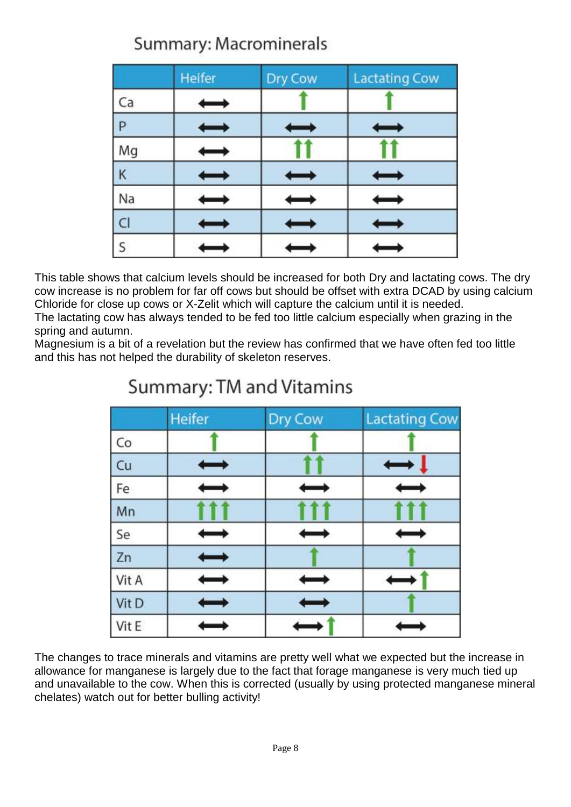### Summary: Macrominerals

|    | Heifer | Dry Cow | <b>Lactating Cow</b> |
|----|--------|---------|----------------------|
| Ca |        |         |                      |
| P  |        |         |                      |
| Mg |        |         |                      |
| K  |        |         |                      |
| Na |        |         |                      |
| C1 |        |         |                      |
| S  |        |         |                      |

This table shows that calcium levels should be increased for both Dry and lactating cows. The dry cow increase is no problem for far off cows but should be offset with extra DCAD by using calcium Chloride for close up cows or X-Zelit which will capture the calcium until it is needed.

The lactating cow has always tended to be fed too little calcium especially when grazing in the spring and autumn.

Magnesium is a bit of a revelation but the review has confirmed that we have often fed too little and this has not helped the durability of skeleton reserves.

|       | Heifer        | Dry Cow | <b>Lactating Cow</b> |
|-------|---------------|---------|----------------------|
| Co    |               |         |                      |
| Cu    |               |         |                      |
| Fe    |               |         |                      |
| Mn    |               |         |                      |
| Se    | $\mapsto$     |         | ⇔                    |
| Zn    |               |         |                      |
| Vit A | $\longmapsto$ |         |                      |
| Vit D | $\longmapsto$ |         |                      |
| Vit E |               |         |                      |

### Summary: TM and Vitamins

The changes to trace minerals and vitamins are pretty well what we expected but the increase in allowance for manganese is largely due to the fact that forage manganese is very much tied up and unavailable to the cow. When this is corrected (usually by using protected manganese mineral chelates) watch out for better bulling activity!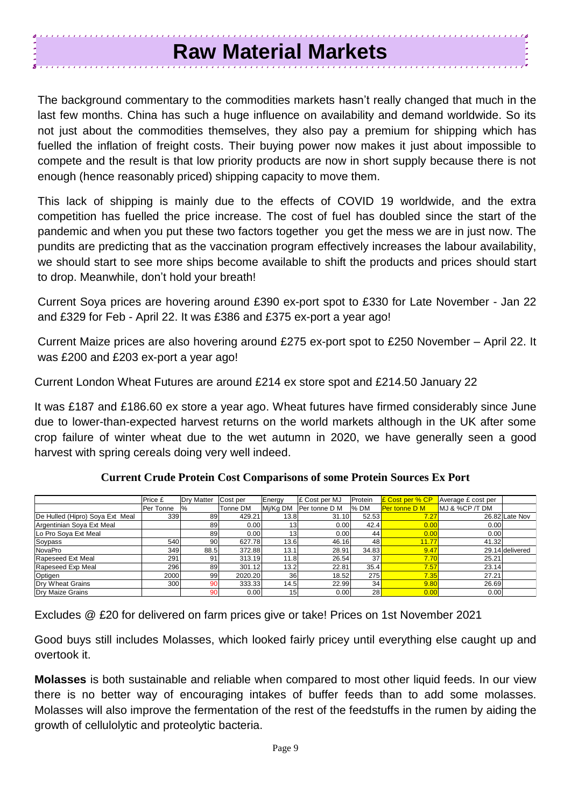### **Raw Material Markets**

The background commentary to the commodities markets hasn't really changed that much in the last few months. China has such a huge influence on availability and demand worldwide. So its not just about the commodities themselves, they also pay a premium for shipping which has fuelled the inflation of freight costs. Their buying power now makes it just about impossible to compete and the result is that low priority products are now in short supply because there is not enough (hence reasonably priced) shipping capacity to move them.

This lack of shipping is mainly due to the effects of COVID 19 worldwide, and the extra competition has fuelled the price increase. The cost of fuel has doubled since the start of the pandemic and when you put these two factors together you get the mess we are in just now. The pundits are predicting that as the vaccination program effectively increases the labour availability, we should start to see more ships become available to shift the products and prices should start to drop. Meanwhile, don't hold your breath!

Current Soya prices are hovering around £390 ex-port spot to £330 for Late November - Jan 22 and £329 for Feb - April 22. It was £386 and £375 ex-port a year ago!

Current Maize prices are also hovering around £275 ex-port spot to £250 November – April 22. It was £200 and £203 ex-port a year ago!

Current London Wheat Futures are around £214 ex store spot and £214.50 January 22

It was £187 and £186.60 ex store a year ago. Wheat futures have firmed considerably since June due to lower-than-expected harvest returns on the world markets although in the UK after some crop failure of winter wheat due to the wet autumn in 2020, we have generally seen a good harvest with spring cereals doing very well indeed.

|                                 | Price £   | <b>Drv Matter</b> | Cost per | Energy          | £ Cost per MJ     | Protein | <b>E</b> Cost per % CP | Average £ cost per |                 |
|---------------------------------|-----------|-------------------|----------|-----------------|-------------------|---------|------------------------|--------------------|-----------------|
|                                 | Per Tonne | 1%                | Tonne DM | Mi/Kg DM        | Per tonne D M     | l% DM   | <b>Per tonne D M</b>   | MJ & %CP /T DM     |                 |
| De Hulled (Hipro) Soya Ext Meal | 339       | 89                | 429.21   | 13.8            | 31.10             | 52.53   | 7.27                   |                    | 26.82 Late Nov  |
| Argentinian Soya Ext Meal       |           | 89                | 0.00     | 13 <sub>l</sub> | 0.001             | 42.4    | 0.00                   | 0.00               |                 |
| Lo Pro Soya Ext Meal            |           | 89                | 0.00     | 13 <sub>1</sub> | 0.00 <sub>l</sub> | 44      | 0.00                   | 0.00               |                 |
| Soypass                         | 540       | 90                | 627.78   | 13.6            | 46.16             | 48      | 11.77                  | 41.32              |                 |
| NovaPro                         | 349       | 88.5              | 372.88   | 13.1            | 28.91             | 34.83   | 9.47                   |                    | 29.14 delivered |
| Rapeseed Ext Meal               | 291       | 91                | 313.19   | 11.8            | 26.54             | 37      | 7.70                   | 25.21              |                 |
| Rapeseed Exp Meal               | 296       | 89                | 301.12   | 13.2            | 22.81             | 35.4    | 7.57                   | 23.14              |                 |
| Optigen                         | 2000      | 99                | 2020.20  | 36              | 18.52             | 275     | 7.35                   | 27.21              |                 |
| Dry Wheat Grains                | 300       | 90                | 333.33   | 14.5            | 22.99             | 34      | 9.80                   | 26.69              |                 |
| Dry Maize Grains                |           | 90                | 0.00     | 15 <sub>l</sub> | 0.00              | 28      | 0.00                   | 0.00               |                 |

**Current Crude Protein Cost Comparisons of some Protein Sources Ex Port** 

Excludes @ £20 for delivered on farm prices give or take! Prices on 1st November 2021

Good buys still includes Molasses, which looked fairly pricey until everything else caught up and overtook it.

**Molasses** is both sustainable and reliable when compared to most other liquid feeds. In our view there is no better way of encouraging intakes of buffer feeds than to add some molasses. Molasses will also improve the fermentation of the rest of the feedstuffs in the rumen by aiding the growth of cellulolytic and proteolytic bacteria.